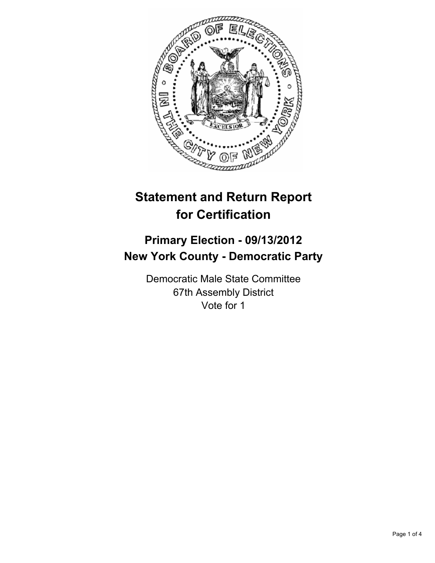

# **Statement and Return Report for Certification**

## **Primary Election - 09/13/2012 New York County - Democratic Party**

Democratic Male State Committee 67th Assembly District Vote for 1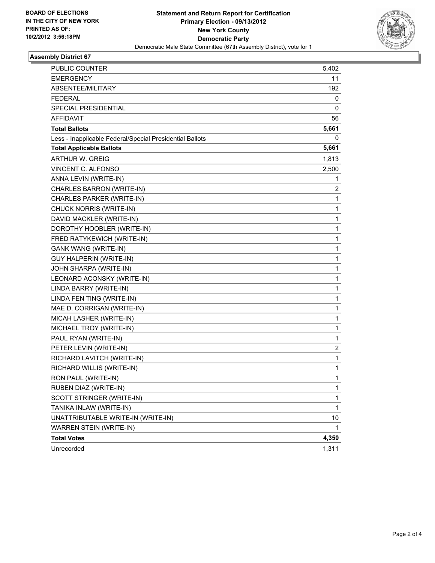

#### **Assembly District 67**

| PUBLIC COUNTER                                           | 5,402        |
|----------------------------------------------------------|--------------|
| EMERGENCY                                                | 11           |
| ABSENTEE/MILITARY                                        | 192          |
| FEDERAL                                                  | 0            |
| <b>SPECIAL PRESIDENTIAL</b>                              | 0            |
| <b>AFFIDAVIT</b>                                         | 56           |
| <b>Total Ballots</b>                                     | 5,661        |
| Less - Inapplicable Federal/Special Presidential Ballots | 0            |
| <b>Total Applicable Ballots</b>                          | 5,661        |
| <b>ARTHUR W. GREIG</b>                                   | 1,813        |
| VINCENT C. ALFONSO                                       | 2,500        |
| ANNA LEVIN (WRITE-IN)                                    | 1            |
| CHARLES BARRON (WRITE-IN)                                | 2            |
| CHARLES PARKER (WRITE-IN)                                | 1            |
| CHUCK NORRIS (WRITE-IN)                                  | 1            |
| DAVID MACKLER (WRITE-IN)                                 | 1            |
| DOROTHY HOOBLER (WRITE-IN)                               | 1            |
| FRED RATYKEWICH (WRITE-IN)                               | 1            |
| <b>GANK WANG (WRITE-IN)</b>                              | 1            |
| <b>GUY HALPERIN (WRITE-IN)</b>                           | 1            |
| JOHN SHARPA (WRITE-IN)                                   | 1            |
| LEONARD ACONSKY (WRITE-IN)                               | 1            |
| LINDA BARRY (WRITE-IN)                                   | 1            |
| LINDA FEN TING (WRITE-IN)                                | 1            |
| MAE D. CORRIGAN (WRITE-IN)                               | 1            |
| MICAH LASHER (WRITE-IN)                                  | 1            |
| MICHAEL TROY (WRITE-IN)                                  | 1            |
| PAUL RYAN (WRITE-IN)                                     | 1            |
| PETER LEVIN (WRITE-IN)                                   | 2            |
| RICHARD LAVITCH (WRITE-IN)                               | 1            |
| RICHARD WILLIS (WRITE-IN)                                | 1            |
| RON PAUL (WRITE-IN)                                      | 1            |
| RUBEN DIAZ (WRITE-IN)                                    | 1            |
| SCOTT STRINGER (WRITE-IN)                                | 1            |
| TANIKA INLAW (WRITE-IN)                                  | 1            |
| UNATTRIBUTABLE WRITE-IN (WRITE-IN)                       | 10           |
| WARREN STEIN (WRITE-IN)                                  | $\mathbf{1}$ |
| <b>Total Votes</b>                                       | 4,350        |
| Unrecorded                                               | 1,311        |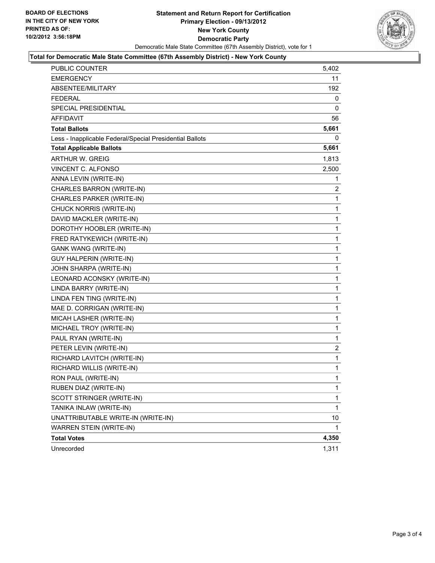

#### **Total for Democratic Male State Committee (67th Assembly District) - New York County**

| PUBLIC COUNTER                                           | 5,402        |
|----------------------------------------------------------|--------------|
| EMERGENCY                                                | 11           |
| ABSENTEE/MILITARY                                        | 192          |
| <b>FEDERAL</b>                                           | 0            |
| SPECIAL PRESIDENTIAL                                     | 0            |
| <b>AFFIDAVIT</b>                                         | 56           |
| <b>Total Ballots</b>                                     | 5,661        |
| Less - Inapplicable Federal/Special Presidential Ballots | 0            |
| <b>Total Applicable Ballots</b>                          | 5,661        |
| <b>ARTHUR W. GREIG</b>                                   | 1,813        |
| VINCENT C. ALFONSO                                       | 2,500        |
| ANNA LEVIN (WRITE-IN)                                    | 1            |
| CHARLES BARRON (WRITE-IN)                                | 2            |
| CHARLES PARKER (WRITE-IN)                                | 1            |
| CHUCK NORRIS (WRITE-IN)                                  | 1            |
| DAVID MACKLER (WRITE-IN)                                 | 1            |
| DOROTHY HOOBLER (WRITE-IN)                               | 1            |
| FRED RATYKEWICH (WRITE-IN)                               | 1            |
| <b>GANK WANG (WRITE-IN)</b>                              | 1            |
| <b>GUY HALPERIN (WRITE-IN)</b>                           | 1            |
| JOHN SHARPA (WRITE-IN)                                   | 1            |
| LEONARD ACONSKY (WRITE-IN)                               | 1            |
| LINDA BARRY (WRITE-IN)                                   | 1            |
| LINDA FEN TING (WRITE-IN)                                | 1            |
| MAE D. CORRIGAN (WRITE-IN)                               | 1            |
| MICAH LASHER (WRITE-IN)                                  | 1            |
| MICHAEL TROY (WRITE-IN)                                  | $\mathbf{1}$ |
| PAUL RYAN (WRITE-IN)                                     | 1            |
| PETER LEVIN (WRITE-IN)                                   | 2            |
| RICHARD LAVITCH (WRITE-IN)                               | 1            |
| RICHARD WILLIS (WRITE-IN)                                | $\mathbf{1}$ |
| RON PAUL (WRITE-IN)                                      | 1            |
| RUBEN DIAZ (WRITE-IN)                                    | 1            |
| SCOTT STRINGER (WRITE-IN)                                | $\mathbf{1}$ |
| TANIKA INLAW (WRITE-IN)                                  | 1            |
| UNATTRIBUTABLE WRITE-IN (WRITE-IN)                       | 10           |
| WARREN STEIN (WRITE-IN)                                  | 1            |
| <b>Total Votes</b>                                       | 4,350        |
| Unrecorded                                               | 1,311        |